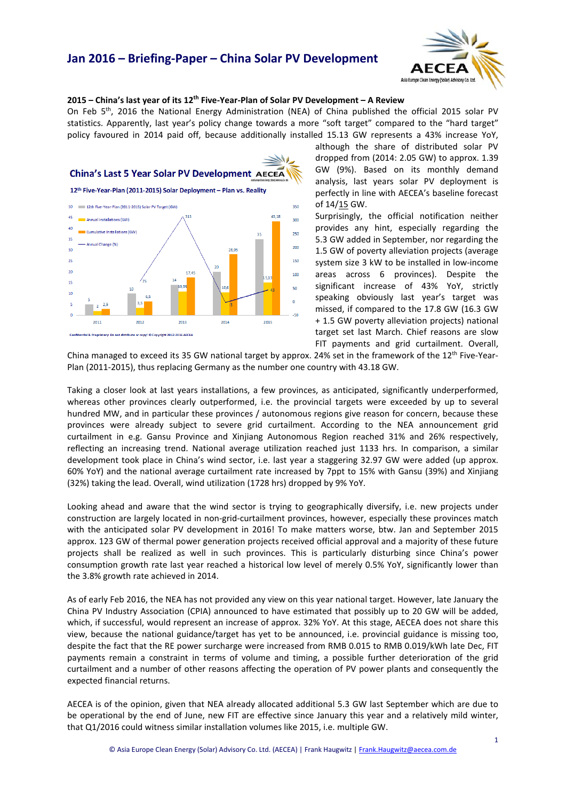

## **2015 – China's last year of its 12th Five-Year-Plan of Solar PV Development – A Review**

On Feb 5th, 2016 the National Energy Administration (NEA) of China published the official 2015 solar PV statistics. Apparently, last year's policy change towards a more "soft target" compared to the "hard target" policy favoured in 2014 paid off, because additionally installed 15.13 GW represents a 43% increase YoY,



although the share of distributed solar PV dropped from (2014: 2.05 GW) to approx. 1.39 GW (9%). Based on its monthly demand analysis, last years solar PV deployment is perfectly in line with AECEA's baseline forecast of 14/15 GW.

Surprisingly, the official notification neither provides any hint, especially regarding the 5.3 GW added in September, nor regarding the 1.5 GW of poverty alleviation projects (average system size 3 kW to be installed in low-income areas across 6 provinces). Despite the significant increase of 43% YoY, strictly speaking obviously last year's target was missed, if compared to the 17.8 GW (16.3 GW + 1.5 GW poverty alleviation projects) national target set last March. Chief reasons are slow FIT payments and grid curtailment. Overall,

China managed to exceed its 35 GW national target by approx. 24% set in the framework of the 12<sup>th</sup> Five-Year-Plan (2011-2015), thus replacing Germany as the number one country with 43.18 GW.

Taking a closer look at last years installations, a few provinces, as anticipated, significantly underperformed, whereas other provinces clearly outperformed, i.e. the provincial targets were exceeded by up to several hundred MW, and in particular these provinces / autonomous regions give reason for concern, because these provinces were already subject to severe grid curtailment. According to the NEA announcement grid curtailment in e.g. Gansu Province and Xinjiang Autonomous Region reached 31% and 26% respectively, reflecting an increasing trend. National average utilization reached just 1133 hrs. In comparison, a similar development took place in China's wind sector, i.e. last year a staggering 32.97 GW were added (up approx. 60% YoY) and the national average curtailment rate increased by 7ppt to 15% with Gansu (39%) and Xinjiang (32%) taking the lead. Overall, wind utilization (1728 hrs) dropped by 9% YoY.

Looking ahead and aware that the wind sector is trying to geographically diversify, i.e. new projects under construction are largely located in non-grid-curtailment provinces, however, especially these provinces match with the anticipated solar PV development in 2016! To make matters worse, btw. Jan and September 2015 approx. 123 GW of thermal power generation projects received official approval and a majority of these future projects shall be realized as well in such provinces. This is particularly disturbing since China's power consumption growth rate last year reached a historical low level of merely 0.5% YoY, significantly lower than the 3.8% growth rate achieved in 2014.

As of early Feb 2016, the NEA has not provided any view on this year national target. However, late January the China PV Industry Association (CPIA) announced to have estimated that possibly up to 20 GW will be added, which, if successful, would represent an increase of approx. 32% YoY. At this stage, AECEA does not share this view, because the national guidance/target has yet to be announced, i.e. provincial guidance is missing too, despite the fact that the RE power surcharge were increased from RMB 0.015 to RMB 0.019/kWh late Dec, FIT payments remain a constraint in terms of volume and timing, a possible further deterioration of the grid curtailment and a number of other reasons affecting the operation of PV power plants and consequently the expected financial returns.

AECEA is of the opinion, given that NEA already allocated additional 5.3 GW last September which are due to be operational by the end of June, new FIT are effective since January this year and a relatively mild winter, that Q1/2016 could witness similar installation volumes like 2015, i.e. multiple GW.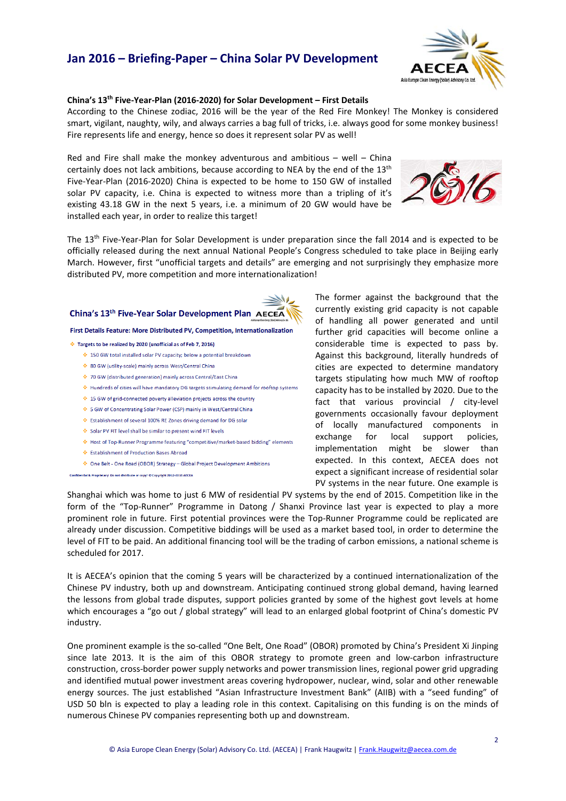

## **China's 13th Five-Year-Plan (2016-2020) for Solar Development – First Details**

According to the Chinese zodiac, 2016 will be the year of the Red Fire Monkey! The Monkey is considered smart, vigilant, naughty, wily, and always carries a bag full of tricks, i.e. always good for some monkey business! Fire represents life and energy, hence so does it represent solar PV as well!

Red and Fire shall make the monkey adventurous and ambitious  $-$  well  $-$  China certainly does not lack ambitions, because according to NEA by the end of the 13<sup>th</sup> Five-Year-Plan (2016-2020) China is expected to be home to 150 GW of installed solar PV capacity, i.e. China is expected to witness more than a tripling of it's existing 43.18 GW in the next 5 years, i.e. a minimum of 20 GW would have be installed each year, in order to realize this target!



The 13<sup>th</sup> Five-Year-Plan for Solar Development is under preparation since the fall 2014 and is expected to be officially released during the next annual National People's Congress scheduled to take place in Beijing early March. However, first "unofficial targets and details" are emerging and not surprisingly they emphasize more distributed PV, more competition and more internationalization!

## China's 13th Five-Year Solar Development Plan AECEA

## First Details Feature: More Distributed PV, Competition, Internationalization

- Targets to be realized by 2020 (unofficial as of Feb 7, 2016)
	- ♦ 150 GW total installed solar PV capacity; below a potential breakdown
	- ❖ 80 GW (utility-scale) mainly across West/Central China
	- ◆ 70 GW (distributed generation) mainly across Central/East China
	- Hundreds of cities will have mandatory DG targets stimulating demand for rooftop systems
	- ♦ 15 GW of grid-connected poverty alleviation projects across the country
	- ♦ 5 GW of Concentrating Solar Power (CSP) mainly in West/Central China
	- ₺ Establishment of several 100% RE Zones driving demand for DG solar
	- Solar PV FIT level shall be similar to present wind FIT levels
	- Host of Top-Runner Programme featuring "competitive/market-based bidding" elements
	- Establishment of Production Bases Abroad
	- ◆ One Belt One Road (OBOR) Strategy Global Project Development Ambitions
- tial & Proprietary: Do not distribute or copy! © Copyright 2012-2016 AECEA

The former against the background that the currently existing grid capacity is not capable of handling all power generated and until further grid capacities will become online a considerable time is expected to pass by. Against this background, literally hundreds of cities are expected to determine mandatory targets stipulating how much MW of rooftop capacity has to be installed by 2020. Due to the fact that various provincial / city-level governments occasionally favour deployment of locally manufactured components in exchange for local support policies, implementation might be slower than expected. In this context, AECEA does not expect a significant increase of residential solar PV systems in the near future. One example is

Shanghai which was home to just 6 MW of residential PV systems by the end of 2015. Competition like in the form of the "Top-Runner" Programme in Datong / Shanxi Province last year is expected to play a more prominent role in future. First potential provinces were the Top-Runner Programme could be replicated are already under discussion. Competitive biddings will be used as a market based tool, in order to determine the level of FIT to be paid. An additional financing tool will be the trading of carbon emissions, a national scheme is scheduled for 2017.

It is AECEA's opinion that the coming 5 years will be characterized by a continued internationalization of the Chinese PV industry, both up and downstream. Anticipating continued strong global demand, having learned the lessons from global trade disputes, support policies granted by some of the highest govt levels at home which encourages a "go out / global strategy" will lead to an enlarged global footprint of China's domestic PV industry.

One prominent example is the so-called "One Belt, One Road" (OBOR) promoted by China's President Xi Jinping since late 2013. It is the aim of this OBOR strategy to promote green and low-carbon infrastructure construction, cross-border power supply networks and power transmission lines, regional power grid upgrading and identified mutual power investment areas covering hydropower, nuclear, wind, solar and other renewable energy sources. The just established "Asian Infrastructure Investment Bank" (AIIB) with a "seed funding" of USD 50 bln is expected to play a leading role in this context. Capitalising on this funding is on the minds of numerous Chinese PV companies representing both up and downstream.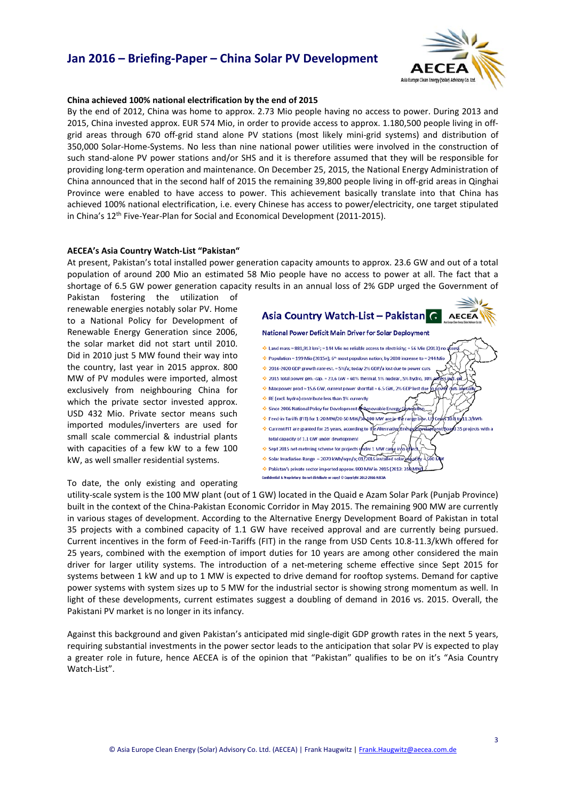

## **China achieved 100% national electrification by the end of 2015**

By the end of 2012, China was home to approx. 2.73 Mio people having no access to power. During 2013 and 2015, China invested approx. EUR 574 Mio, in order to provide access to approx. 1.180,500 people living in offgrid areas through 670 off-grid stand alone PV stations (most likely mini-grid systems) and distribution of 350,000 Solar-Home-Systems. No less than nine national power utilities were involved in the construction of such stand-alone PV power stations and/or SHS and it is therefore assumed that they will be responsible for providing long-term operation and maintenance. On December 25, 2015, the National Energy Administration of China announced that in the second half of 2015 the remaining 39,800 people living in off-grid areas in Qinghai Province were enabled to have access to power. This achievement basically translate into that China has achieved 100% national electrification, i.e. every Chinese has access to power/electricity, one target stipulated in China's 12th Five-Year-Plan for Social and Economical Development (2011-2015).

#### **AECEA's Asia Country Watch-List "Pakistan"**

At present, Pakistan's total installed power generation capacity amounts to approx. 23.6 GW and out of a total population of around 200 Mio an estimated 58 Mio people have no access to power at all. The fact that a shortage of 6.5 GW power generation capacity results in an annual loss of 2% GDP urged the Government of

Pakistan fostering the utilization of renewable energies notably solar PV. Home to a National Policy for Development of Renewable Energy Generation since 2006, the solar market did not start until 2010. Did in 2010 just 5 MW found their way into the country, last year in 2015 approx. 800 MW of PV modules were imported, almost exclusively from neighbouring China for which the private sector invested approx. USD 432 Mio. Private sector means such imported modules/inverters are used for small scale commercial & industrial plants with capacities of a few kW to a few 100 kW, as well smaller residential systems.

Asia Country Watch-List - Pakistan G **AECEA** National Power Deficit Main Driver for Solar Deployment Land mass  $\approx$  881.913 km<sup>2</sup>:  $\approx$  144 Mio no reliable access to electricity:  $\approx$  56 Mio (2013) no → Population ≈ 199 Mio (2015e); 6<sup>th</sup> most populous nation; by 2030 increase to ≈ 244 Mio 2016-2020 GDP growth rate est. ~ 5%/a; today 2% GDP/a lost due to power cuts  $\div$  2015 total power gen.-cap.  $\approx$  23,6 GW = 60% thermal, 5% nuclear, 5% hydro, 30%  $\div$  Max power prod  $\approx$  15,6 GW, current power shortfall  $\approx$  6.5 GW, 2% GDP lost di RE (excl. hydro) contribute less than 1% currently Since 2006 National Policy for Development Renewable Energy Feed-in-Tariffs (FIT) for 1-20 MW/20-50 MW/50 100 MW are in the  $ebw.$  USC فسفة 1.3 AAMh Ourrent FIT are granted for 25 years, according to the Alternative Ener .<br>I 35 projects with a total capacity of 1.1 GW under development Sept 2015 net-metering scheme for projects ynder 1 MW caree into Solar Irradiation Range ~ 2070 kWh/sqm/a; 01/2016 installed so ↔ Pakistan's private sector imported approx. 800 MW in 2015 (2013: 35 Confidential & Proprietary: Do not distribute or copy! © Copyright 2012-2016 ACCD

To date, the only existing and operating

utility-scale system is the 100 MW plant (out of 1 GW) located in the Quaid e Azam Solar Park (Punjab Province) built in the context of the China-Pakistan Economic Corridor in May 2015. The remaining 900 MW are currently in various stages of development. According to the Alternative Energy Development Board of Pakistan in total 35 projects with a combined capacity of 1.1 GW have received approval and are currently being pursued. Current incentives in the form of Feed-in-Tariffs (FIT) in the range from USD Cents 10.8-11.3/kWh offered for 25 years, combined with the exemption of import duties for 10 years are among other considered the main driver for larger utility systems. The introduction of a net-metering scheme effective since Sept 2015 for systems between 1 kW and up to 1 MW is expected to drive demand for rooftop systems. Demand for captive power systems with system sizes up to 5 MW for the industrial sector is showing strong momentum as well. In light of these developments, current estimates suggest a doubling of demand in 2016 vs. 2015. Overall, the Pakistani PV market is no longer in its infancy.

Against this background and given Pakistan's anticipated mid single-digit GDP growth rates in the next 5 years, requiring substantial investments in the power sector leads to the anticipation that solar PV is expected to play a greater role in future, hence AECEA is of the opinion that "Pakistan" qualifies to be on it's "Asia Country Watch-List".